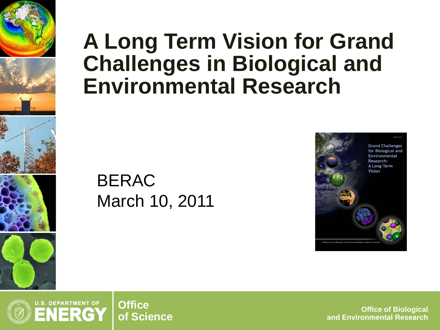

### **A Long Term Vision for Grand Challenges in Biological and Environmental Research**

### BERAC March 10, 2011





**of Science Office of Biological and Environmental Research**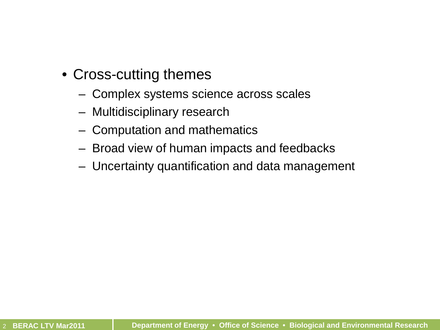- Cross-cutting themes
	- Complex systems science across scales
	- Multidisciplinary research
	- Computation and mathematics
	- Broad view of human impacts and feedbacks
	- Uncertainty quantification and data management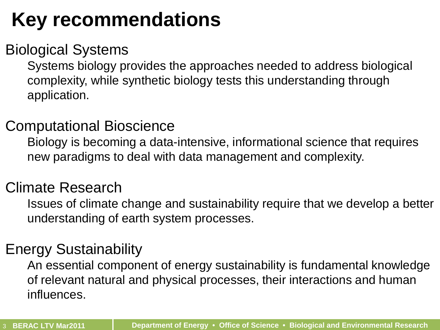## **Key recommendations**

#### Biological Systems

Systems biology provides the approaches needed to address biological complexity, while synthetic biology tests this understanding through application.

#### Computational Bioscience

Biology is becoming a data-intensive, informational science that requires new paradigms to deal with data management and complexity.

#### Climate Research

Issues of climate change and sustainability require that we develop a better understanding of earth system processes.

#### Energy Sustainability

An essential component of energy sustainability is fundamental knowledge of relevant natural and physical processes, their interactions and human influences.